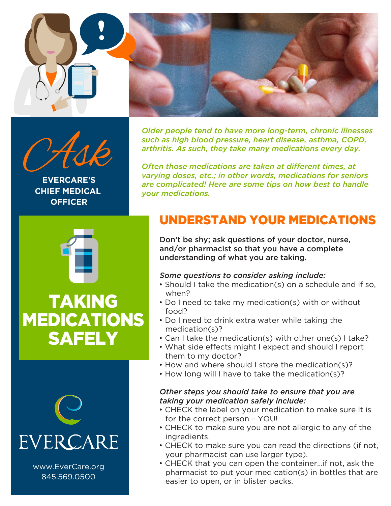



**EVERCARE'S CHIEF MEDICAL OFFICER**

*Older people tend to have more long-term, chronic illnesses such as high blood pressure, heart disease, asthma, COPD, arthritis. As such, they take many medications every day.*

*Often those medications are taken at different times, at varying doses, etc.; in other words, medications for seniors are complicated! Here are some tips on how best to handle your medications.*

## UNDERSTAND YOUR MEDICATIONS

Don't be shy; ask questions of your doctor, nurse, and/or pharmacist so that you have a complete understanding of what you are taking.

#### *Some questions to consider asking include:*

- Should I take the medication(s) on a schedule and if so, when?
- Do I need to take my medication(s) with or without food?
- Do I need to drink extra water while taking the medication(s)?
- Can I take the medication(s) with other one(s) I take?
- What side effects might I expect and should I report them to my doctor?
- How and where should I store the medication(s)?
- How long will I have to take the medication(s)?

#### *Other steps you should take to ensure that you are taking your medication safely include:*

- CHECK the label on your medication to make sure it is for the correct person – YOU!
- CHECK to make sure you are not allergic to any of the ingredients.
- CHECK to make sure you can read the directions (if not, your pharmacist can use larger type).
- CHECK that you can open the container…if not, ask the pharmacist to put your medication(s) in bottles that are easier to open, or in blister packs.





www.EverCare.org 845.569.0500